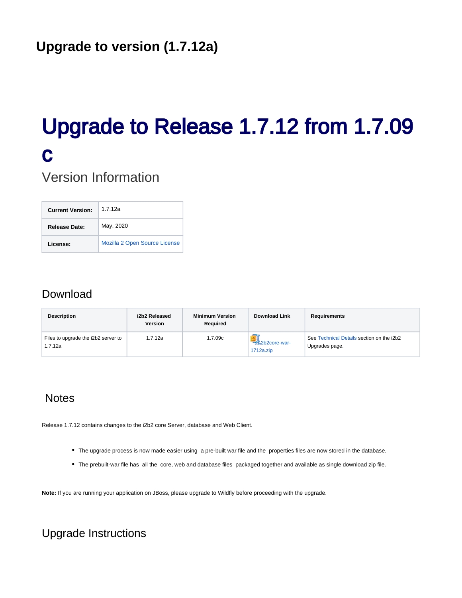# Upgrade to Release 1.7.12 from 1.7.09 c

Version Information

| <b>Current Version:</b> | 1.7.12a                       |
|-------------------------|-------------------------------|
| Release Date:           | May, 2020                     |
| License:                | Mozilla 2 Open Source License |

## Download

| <b>Description</b>                             | i2b2 Released<br><b>Version</b> | <b>Minimum Version</b><br>Required | <b>Download Link</b>            | Requirements                                                |
|------------------------------------------------|---------------------------------|------------------------------------|---------------------------------|-------------------------------------------------------------|
| Files to upgrade the i2b2 server to<br>1.7.12a | 1.7.12a                         | 1.7.09c                            | -3.2b2core-war-<br>$1712a$ .zip | See Technical Details section on the i2b2<br>Upgrades page. |

## **Notes**

Release 1.7.12 contains changes to the i2b2 core Server, database and Web Client.

- The upgrade process is now made easier using a pre-built war file and the properties files are now stored in the database.
- The prebuilt-war file has all the core, web and database files packaged together and available as single download zip file.

**Note:** If you are running your application on JBoss, please upgrade to Wildfly before proceeding with the upgrade.

# Upgrade Instructions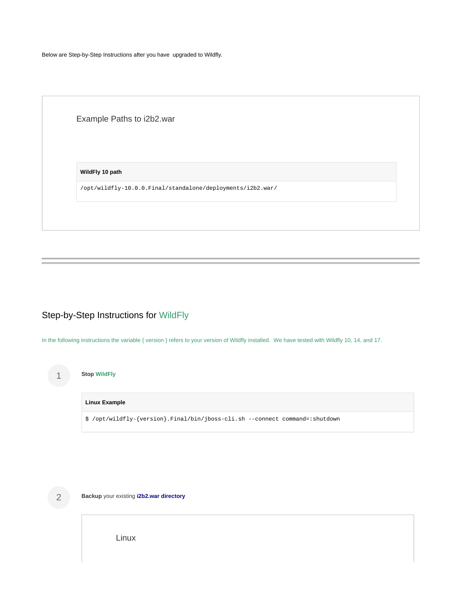Below are Step-by-Step Instructions after you have upgraded to Wildfly.

Example Paths to i2b2.war

**WildFly 10 path**

/opt/wildfly-10.0.0.Final/standalone/deployments/i2b2.war/

## Step-by-Step Instructions for WildFly

In the following instructions the variable { version } refers to your version of Wildfly installed. We have tested with Wildfly 10, 14, and 17.

|  | <b>Stop WildFly</b>                                                          |
|--|------------------------------------------------------------------------------|
|  | <b>Linux Example</b>                                                         |
|  | \$ /opt/wildfly-{version}.Final/bin/jboss-cli.sh --connect command=:shutdown |



**Backup** your existing **i2b2.war directory**

Linux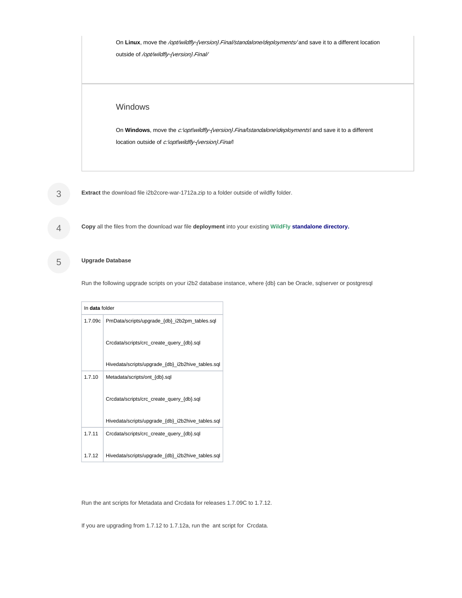On Linux, move the */opt/wildfly-{version}.Final/standalone/deployments/* and save it to a different location outside of /opt/wildfly-{version}. Final/ On Windows, move the c:loptlwildfly-{version}. Final\standalone\deployments\ and save it to a different location outside of c:\opt\wildfly-{version}.Final\ Windows

3 **Extract** the download file i2b2core-war-1712a.zip to a folder outside of wildfly folder.

**Copy** all the files from the download war file **deployment** into your existing **WildFly standalone directory.**

#### 5 **Upgrade Database**

4

Run the following upgrade scripts on your i2b2 database instance, where {db} can be Oracle, sqlserver or postgresql

| In data folder |                                                   |  |  |
|----------------|---------------------------------------------------|--|--|
| 1.7.09c        | PmData/scripts/upgrade_{db}_i2b2pm_tables.sql     |  |  |
|                | Crcdata/scripts/crc create query {db}.sql         |  |  |
|                | Hivedata/scripts/upgrade_{db}_i2b2hive_tables.sql |  |  |
| 1.7.10         | Metadata/scripts/ont_{db}.sql                     |  |  |
|                | Crcdata/scripts/crc_create_query_{db}.sql         |  |  |
|                | Hivedata/scripts/upgrade {db} i2b2hive tables.sql |  |  |
| 1.7.11         | Crcdata/scripts/crc create query {db}.sql         |  |  |
| 1.7.12         | Hivedata/scripts/upgrade_{db}_i2b2hive_tables.sql |  |  |

Run the ant scripts for Metadata and Crcdata for releases 1.7.09C to 1.7.12.

If you are upgrading from 1.7.12 to 1.7.12a, run the ant script for Crcdata.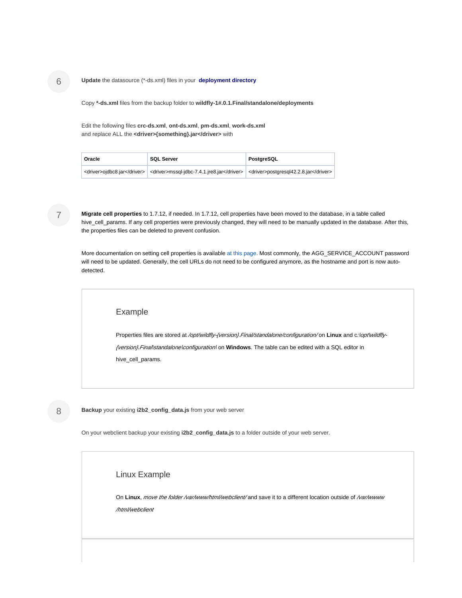#### **Update** the datasource (\*-ds.xml) files in your **deployment directory**

Copy **\*-ds.xml** files from the backup folder to **wildfly-1#.0.1.Final/standalone/deployments** 

Edit the following files **crc-ds.xml**, **ont-ds.xml**, **pm-ds.xml**, **work-ds.xml** and replace ALL the **<driver>{something}.jar</driver>** with

| Oracle | <b>SQL Server</b>                                                                                                | PostgreSQL |
|--------|------------------------------------------------------------------------------------------------------------------|------------|
|        | <driver>ojdbc8.jar</driver>   <driver>mssql-jdbc-7.4.1.jre8.jar</driver>   <driver>postgresql42.2.8.jar</driver> |            |

7

8

**Migrate cell properties** to 1.7.12, if needed. In 1.7.12, cell properties have been moved to the database, in a table called hive\_cell\_params. If any cell properties were previously changed, they will need to be manually updated in the database. After this, the properties files can be deleted to prevent confusion.

More documentation on setting cell properties is available [at this page.](https://community.i2b2.org/wiki/display/getstarted/1.+Configure+cell+properties) Most commonly, the AGG\_SERVICE\_ACCOUNT password will need to be updated. Generally, the cell URLs do not need to be configured anymore, as the hostname and port is now autodetected.

#### Example

Properties files are stored at /opt/wildfly-{version}. Final/standalone/configuration/ on **Linux** and c:\opt\wildfly-{version}.Final\standalone\configuration\ on **Windows**. The table can be edited with a SQL editor in hive\_cell\_params.

**Backup** your existing **i2b2\_config\_data.js** from your web server

On your webclient backup your existing **i2b2\_config\_data.js** to a folder outside of your web server.

#### Linux Example

On Linux, move the folder /var/www/html/webclient/ and save it to a different location outside of /var/wwww /html/webclient

6